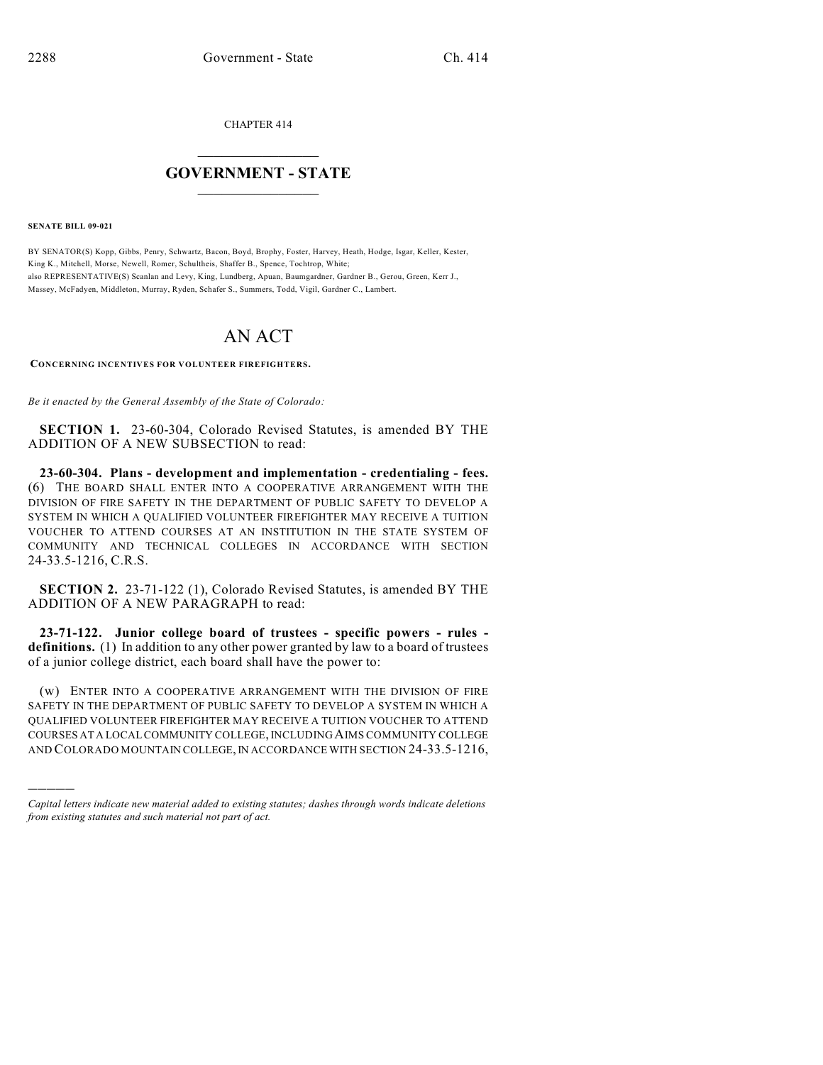CHAPTER 414

## $\mathcal{L}_\text{max}$  . The set of the set of the set of the set of the set of the set of the set of the set of the set of the set of the set of the set of the set of the set of the set of the set of the set of the set of the set **GOVERNMENT - STATE**  $\_$   $\_$

**SENATE BILL 09-021**

)))))

BY SENATOR(S) Kopp, Gibbs, Penry, Schwartz, Bacon, Boyd, Brophy, Foster, Harvey, Heath, Hodge, Isgar, Keller, Kester, King K., Mitchell, Morse, Newell, Romer, Schultheis, Shaffer B., Spence, Tochtrop, White; also REPRESENTATIVE(S) Scanlan and Levy, King, Lundberg, Apuan, Baumgardner, Gardner B., Gerou, Green, Kerr J., Massey, McFadyen, Middleton, Murray, Ryden, Schafer S., Summers, Todd, Vigil, Gardner C., Lambert.

## AN ACT

**CONCERNING INCENTIVES FOR VOLUNTEER FIREFIGHTERS.**

*Be it enacted by the General Assembly of the State of Colorado:*

**SECTION 1.** 23-60-304, Colorado Revised Statutes, is amended BY THE ADDITION OF A NEW SUBSECTION to read:

**23-60-304. Plans - development and implementation - credentialing - fees.** (6) THE BOARD SHALL ENTER INTO A COOPERATIVE ARRANGEMENT WITH THE DIVISION OF FIRE SAFETY IN THE DEPARTMENT OF PUBLIC SAFETY TO DEVELOP A SYSTEM IN WHICH A QUALIFIED VOLUNTEER FIREFIGHTER MAY RECEIVE A TUITION VOUCHER TO ATTEND COURSES AT AN INSTITUTION IN THE STATE SYSTEM OF COMMUNITY AND TECHNICAL COLLEGES IN ACCORDANCE WITH SECTION 24-33.5-1216, C.R.S.

**SECTION 2.** 23-71-122 (1), Colorado Revised Statutes, is amended BY THE ADDITION OF A NEW PARAGRAPH to read:

**23-71-122. Junior college board of trustees - specific powers - rules definitions.** (1) In addition to any other power granted by law to a board of trustees of a junior college district, each board shall have the power to:

(w) ENTER INTO A COOPERATIVE ARRANGEMENT WITH THE DIVISION OF FIRE SAFETY IN THE DEPARTMENT OF PUBLIC SAFETY TO DEVELOP A SYSTEM IN WHICH A QUALIFIED VOLUNTEER FIREFIGHTER MAY RECEIVE A TUITION VOUCHER TO ATTEND COURSES AT A LOCAL COMMUNITY COLLEGE, INCLUDING AIMS COMMUNITY COLLEGE AND COLORADO MOUNTAIN COLLEGE, IN ACCORDANCE WITH SECTION 24-33.5-1216,

*Capital letters indicate new material added to existing statutes; dashes through words indicate deletions from existing statutes and such material not part of act.*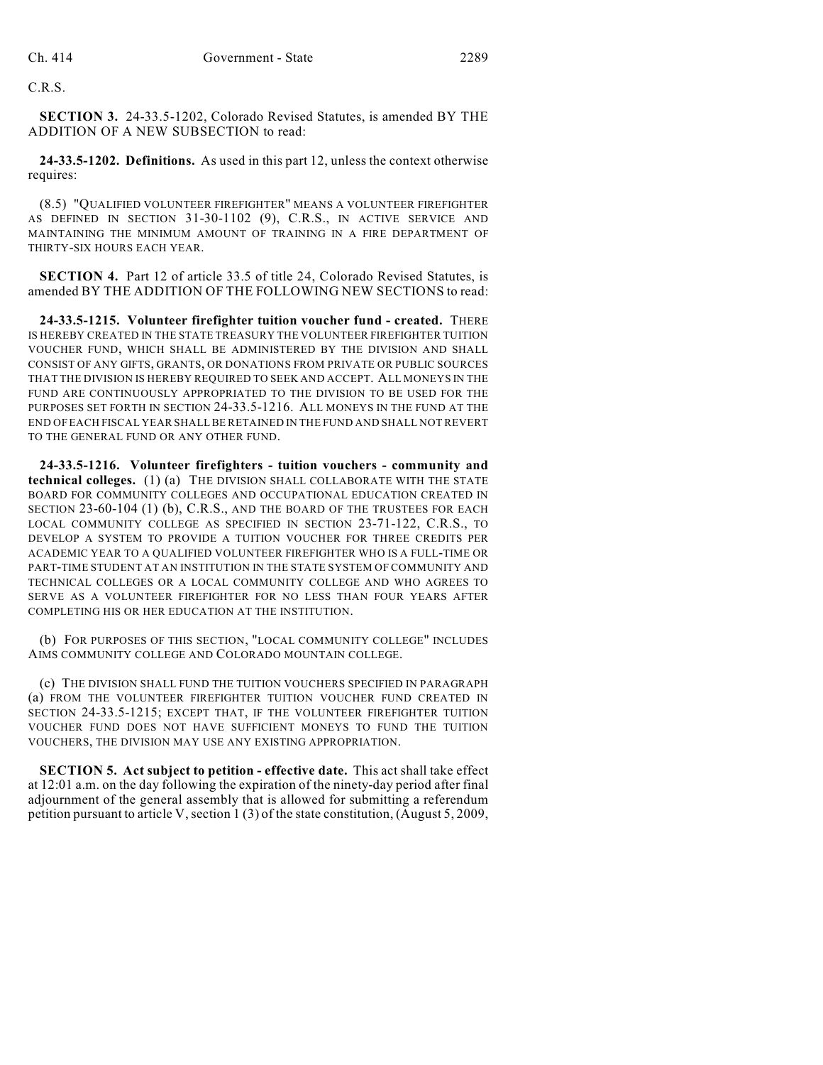C.R.S.

**SECTION 3.** 24-33.5-1202, Colorado Revised Statutes, is amended BY THE ADDITION OF A NEW SUBSECTION to read:

**24-33.5-1202. Definitions.** As used in this part 12, unless the context otherwise requires:

(8.5) "QUALIFIED VOLUNTEER FIREFIGHTER" MEANS A VOLUNTEER FIREFIGHTER AS DEFINED IN SECTION 31-30-1102 (9), C.R.S., IN ACTIVE SERVICE AND MAINTAINING THE MINIMUM AMOUNT OF TRAINING IN A FIRE DEPARTMENT OF THIRTY-SIX HOURS EACH YEAR.

**SECTION 4.** Part 12 of article 33.5 of title 24, Colorado Revised Statutes, is amended BY THE ADDITION OF THE FOLLOWING NEW SECTIONS to read:

**24-33.5-1215. Volunteer firefighter tuition voucher fund - created.** THERE IS HEREBY CREATED IN THE STATE TREASURY THE VOLUNTEER FIREFIGHTER TUITION VOUCHER FUND, WHICH SHALL BE ADMINISTERED BY THE DIVISION AND SHALL CONSIST OF ANY GIFTS, GRANTS, OR DONATIONS FROM PRIVATE OR PUBLIC SOURCES THAT THE DIVISION IS HEREBY REQUIRED TO SEEK AND ACCEPT. ALL MONEYS IN THE FUND ARE CONTINUOUSLY APPROPRIATED TO THE DIVISION TO BE USED FOR THE PURPOSES SET FORTH IN SECTION 24-33.5-1216. ALL MONEYS IN THE FUND AT THE END OFEACH FISCAL YEAR SHALL BE RETAINED IN THE FUND AND SHALL NOT REVERT TO THE GENERAL FUND OR ANY OTHER FUND.

**24-33.5-1216. Volunteer firefighters - tuition vouchers - community and technical colleges.** (1) (a) THE DIVISION SHALL COLLABORATE WITH THE STATE BOARD FOR COMMUNITY COLLEGES AND OCCUPATIONAL EDUCATION CREATED IN SECTION 23-60-104 (1) (b), C.R.S., AND THE BOARD OF THE TRUSTEES FOR EACH LOCAL COMMUNITY COLLEGE AS SPECIFIED IN SECTION 23-71-122, C.R.S., TO DEVELOP A SYSTEM TO PROVIDE A TUITION VOUCHER FOR THREE CREDITS PER ACADEMIC YEAR TO A QUALIFIED VOLUNTEER FIREFIGHTER WHO IS A FULL-TIME OR PART-TIME STUDENT AT AN INSTITUTION IN THE STATE SYSTEM OF COMMUNITY AND TECHNICAL COLLEGES OR A LOCAL COMMUNITY COLLEGE AND WHO AGREES TO SERVE AS A VOLUNTEER FIREFIGHTER FOR NO LESS THAN FOUR YEARS AFTER COMPLETING HIS OR HER EDUCATION AT THE INSTITUTION.

(b) FOR PURPOSES OF THIS SECTION, "LOCAL COMMUNITY COLLEGE" INCLUDES AIMS COMMUNITY COLLEGE AND COLORADO MOUNTAIN COLLEGE.

(c) THE DIVISION SHALL FUND THE TUITION VOUCHERS SPECIFIED IN PARAGRAPH (a) FROM THE VOLUNTEER FIREFIGHTER TUITION VOUCHER FUND CREATED IN SECTION 24-33.5-1215; EXCEPT THAT, IF THE VOLUNTEER FIREFIGHTER TUITION VOUCHER FUND DOES NOT HAVE SUFFICIENT MONEYS TO FUND THE TUITION VOUCHERS, THE DIVISION MAY USE ANY EXISTING APPROPRIATION.

**SECTION 5. Act subject to petition - effective date.** This act shall take effect at 12:01 a.m. on the day following the expiration of the ninety-day period after final adjournment of the general assembly that is allowed for submitting a referendum petition pursuant to article V, section 1 (3) of the state constitution, (August 5, 2009,